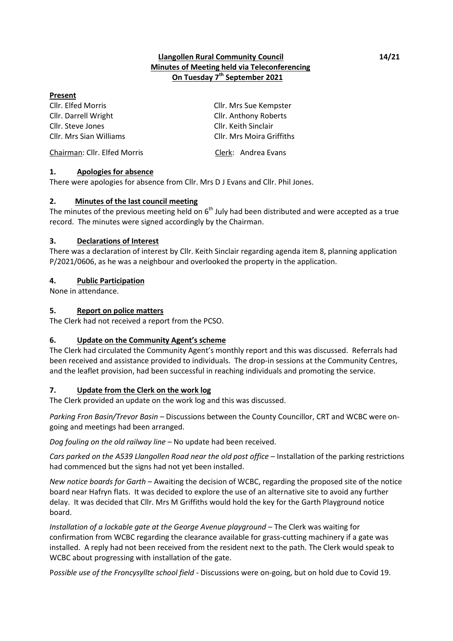## **Llangollen Rural Community Council 14/21 Minutes of Meeting held via Teleconferencing On Tuesday 7 th September 2021**

#### **Present**

Cllr. Elfed Morris Cllr. Mrs Sue Kempster Cllr. Darrell Wright Cllr. Anthony Roberts Cllr. Steve Jones Cllr. Keith Sinclair Cllr. Mrs Sian Williams Cllr. Mrs Moira Griffiths Chairman: Cllr. Elfed Morris Clerk: Andrea Evans

## **1. Apologies for absence**

There were apologies for absence from Cllr. Mrs D J Evans and Cllr. Phil Jones.

## **2. Minutes of the last council meeting**

The minutes of the previous meeting held on  $6<sup>th</sup>$  July had been distributed and were accepted as a true record. The minutes were signed accordingly by the Chairman.

## **3. Declarations of Interest**

There was a declaration of interest by Cllr. Keith Sinclair regarding agenda item 8, planning application P/2021/0606, as he was a neighbour and overlooked the property in the application.

## **4. Public Participation**

None in attendance.

## **5. Report on police matters**

The Clerk had not received a report from the PCSO.

## **6. Update on the Community Agent's scheme**

The Clerk had circulated the Community Agent's monthly report and this was discussed. Referrals had been received and assistance provided to individuals. The drop-in sessions at the Community Centres, and the leaflet provision, had been successful in reaching individuals and promoting the service.

## **7. Update from the Clerk on the work log**

The Clerk provided an update on the work log and this was discussed.

*Parking Fron Basin/Trevor Basin* – Discussions between the County Councillor, CRT and WCBC were ongoing and meetings had been arranged.

*Dog fouling on the old railway line* – No update had been received.

*Cars parked on the A539 Llangollen Road near the old post office* – Installation of the parking restrictions had commenced but the signs had not yet been installed.

*New notice boards for Garth* – Awaiting the decision of WCBC, regarding the proposed site of the notice board near Hafryn flats. It was decided to explore the use of an alternative site to avoid any further delay. It was decided that Cllr. Mrs M Griffiths would hold the key for the Garth Playground notice board.

*Installation of a lockable gate at the George Avenue playground* – The Clerk was waiting for confirmation from WCBC regarding the clearance available for grass-cutting machinery if a gate was installed. A reply had not been received from the resident next to the path. The Clerk would speak to WCBC about progressing with installation of the gate.

P*ossible use of the Froncysyllte school field* - Discussions were on-going, but on hold due to Covid 19.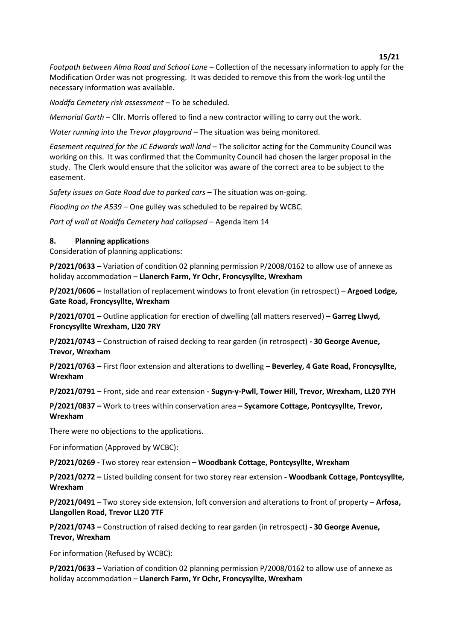#### **15/21**

*Footpath between Alma Road and School Lane* – Collection of the necessary information to apply for the Modification Order was not progressing. It was decided to remove this from the work-log until the necessary information was available.

*Noddfa Cemetery risk assessment –* To be scheduled.

*Memorial Garth* – Cllr. Morris offered to find a new contractor willing to carry out the work.

*Water running into the Trevor playground* – The situation was being monitored.

*Easement required for the JC Edwards wall land* – The solicitor acting for the Community Council was working on this. It was confirmed that the Community Council had chosen the larger proposal in the study. The Clerk would ensure that the solicitor was aware of the correct area to be subject to the easement.

*Safety issues on Gate Road due to parked cars* – The situation was on-going.

*Flooding on the A539* – One gulley was scheduled to be repaired by WCBC.

*Part of wall at Noddfa Cemetery had collapsed* – Agenda item 14

## **8. Planning applications**

Consideration of planning applications:

**P/2021/0633** – Variation of condition 02 planning permission P/2008/0162 to allow use of annexe as holiday accommodation – **Llanerch Farm, Yr Ochr, Froncysyllte, Wrexham**

**P/2021/0606 –** Installation of replacement windows to front elevation (in retrospect) – **Argoed Lodge, Gate Road, Froncysyllte, Wrexham** 

**P/2021/0701 –** Outline application for erection of dwelling (all matters reserved) **– Garreg Llwyd, Froncysyllte Wrexham, Ll20 7RY**

**P/2021/0743 –** Construction of raised decking to rear garden (in retrospect) **- 30 George Avenue, Trevor, Wrexham**

**P/2021/0763 –** First floor extension and alterations to dwelling **– Beverley, 4 Gate Road, Froncysyllte, Wrexham**

**P/2021/0791 –** Front, side and rear extension **- Sugyn-y-Pwll, Tower Hill, Trevor, Wrexham, LL20 7YH** 

**P/2021/0837 –** Work to trees within conservation area **– Sycamore Cottage, Pontcysyllte, Trevor, Wrexham**

There were no objections to the applications.

For information (Approved by WCBC):

**P/2021/0269 -** Two storey rear extension – **Woodbank Cottage, Pontcysyllte, Wrexham**

**P/2021/0272 –** Listed building consent for two storey rear extension **- Woodbank Cottage, Pontcysyllte, Wrexham**

**P/2021/0491** – Two storey side extension, loft conversion and alterations to front of property – **Arfosa, Llangollen Road, Trevor LL20 7TF**

**P/2021/0743 –** Construction of raised decking to rear garden (in retrospect) **- 30 George Avenue, Trevor, Wrexham**

For information (Refused by WCBC):

**P/2021/0633** – Variation of condition 02 planning permission P/2008/0162 to allow use of annexe as holiday accommodation – **Llanerch Farm, Yr Ochr, Froncysyllte, Wrexham**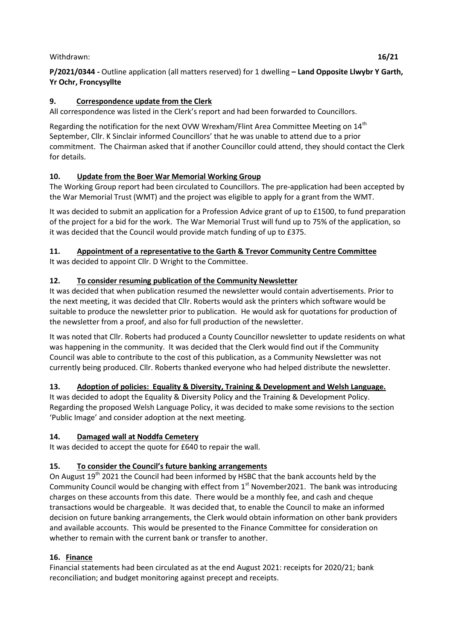## Withdrawn: **16/21**

## **9. Correspondence update from the Clerk**

All correspondence was listed in the Clerk's report and had been forwarded to Councillors.

Regarding the notification for the next OVW Wrexham/Flint Area Committee Meeting on  $14<sup>th</sup>$ September, Cllr. K Sinclair informed Councillors' that he was unable to attend due to a prior commitment. The Chairman asked that if another Councillor could attend, they should contact the Clerk for details.

## **10. Update from the Boer War Memorial Working Group**

The Working Group report had been circulated to Councillors. The pre-application had been accepted by the War Memorial Trust (WMT) and the project was eligible to apply for a grant from the WMT.

It was decided to submit an application for a Profession Advice grant of up to £1500, to fund preparation of the project for a bid for the work. The War Memorial Trust will fund up to 75% of the application, so it was decided that the Council would provide match funding of up to £375.

# **11. Appointment of a representative to the Garth & Trevor Community Centre Committee**

It was decided to appoint Cllr. D Wright to the Committee.

# **12. To consider resuming publication of the Community Newsletter**

It was decided that when publication resumed the newsletter would contain advertisements. Prior to the next meeting, it was decided that Cllr. Roberts would ask the printers which software would be suitable to produce the newsletter prior to publication. He would ask for quotations for production of the newsletter from a proof, and also for full production of the newsletter.

It was noted that Cllr. Roberts had produced a County Councillor newsletter to update residents on what was happening in the community. It was decided that the Clerk would find out if the Community Council was able to contribute to the cost of this publication, as a Community Newsletter was not currently being produced. Cllr. Roberts thanked everyone who had helped distribute the newsletter.

# **13. Adoption of policies: Equality & Diversity, Training & Development and Welsh Language.**

It was decided to adopt the Equality & Diversity Policy and the Training & Development Policy. Regarding the proposed Welsh Language Policy, it was decided to make some revisions to the section 'Public Image' and consider adoption at the next meeting.

# **14. Damaged wall at Noddfa Cemetery**

It was decided to accept the quote for £640 to repair the wall.

# **15. To consider the Council's future banking arrangements**

On August 19<sup>th</sup> 2021 the Council had been informed by HSBC that the bank accounts held by the Community Council would be changing with effect from 1st November2021.The bank was introducing charges on these accounts from this date. There would be a monthly fee, and cash and cheque transactions would be chargeable. It was decided that, to enable the Council to make an informed decision on future banking arrangements, the Clerk would obtain information on other bank providers and available accounts. This would be presented to the Finance Committee for consideration on whether to remain with the current bank or transfer to another.

# **16. Finance**

Financial statements had been circulated as at the end August 2021: receipts for 2020/21; bank reconciliation; and budget monitoring against precept and receipts.